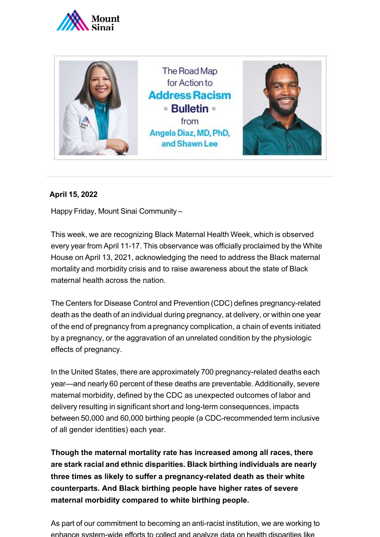



## **April 15, 2022**

Happy Friday, Mount Sinai Community –

This week, we are recognizing Black Maternal Health Week, which is observed every year from April 11-17. This observance was officially proclaimed by the White House on April 13, 2021, acknowledging the need to address the Black maternal mortality and morbidity crisis and to raise awareness about the state of Black maternal health across the nation.

The Centers for Disease Control and Prevention (CDC) defines pregnancy-related death as the death of an individual during pregnancy, at delivery, or within one year of the end of pregnancy from apregnancy complication, a chain of events initiated by a pregnancy, or the aggravation of an unrelated condition by the physiologic effects of pregnancy.

In the United States, there are approximately 700 pregnancy-related deaths each year—and nearly 60 percent of these deaths are preventable. Additionally, severe maternal morbidity, defined by the CDC as unexpected outcomes of labor and delivery resulting in significant short and long-term consequences, impacts between 50,000 and 60,000 birthing people (a CDC-recommended term inclusive of all gender identities) each year.

**Though the maternal mortality rate has increased among all races, there are stark racial and ethnic disparities. Black birthing individuals are nearly three times as likely to suffer a pregnancy-related death as their white counterparts. And Black birthing people have higher rates of severe maternal morbidity compared to white birthing people.**

As part of our commitment to becoming an anti-racist institution, we are working to enhance system-wide efforts to collect and analyze data on health disparities like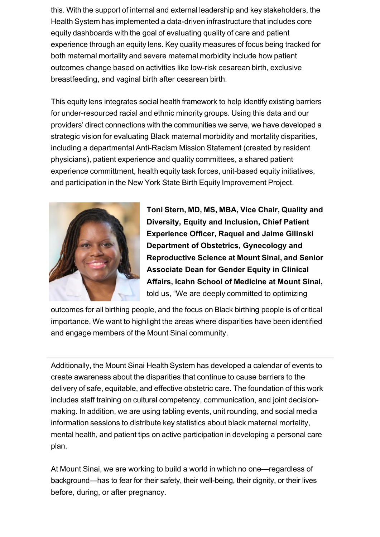this. With the support of internal and external leadership and key stakeholders, the Health System has implemented a data-driven infrastructure that includes core equity dashboards with the goal of evaluating quality of care and patient experience through an equity lens. Key quality measures of focus being tracked for both maternal mortality and severe maternal morbidity include how patient outcomes change based on activities like low-risk cesarean birth, exclusive breastfeeding, and vaginal birth after cesarean birth.

This equity lens integrates social health framework to help identify existing barriers for under-resourced racial and ethnic minority groups. Using this data and our providers' direct connections with the communities we serve, we have developed a strategic vision for evaluating Black maternal morbidity and mortality disparities, including a departmental Anti-Racism Mission Statement (created by resident physicians), patient experience and quality committees, a shared patient experience committment, health equity task forces, unit-based equity initiatives, and participation in the New York State Birth Equity Improvement Project.



**Toni Stern, MD, MS, MBA, Vice Chair, Quality and Diversity, Equity and Inclusion, Chief Patient Experience Officer, Raquel and Jaime Gilinski Department of Obstetrics, Gynecology and Reproductive Science at Mount Sinai, and Senior Associate Dean for Gender Equity in Clinical Affairs, Icahn School of Medicine at Mount Sinai,**  told us, "We are deeply committed to optimizing

outcomes for all birthing people, and the focus on Black birthing people is of critical importance. We want to highlight the areas where disparities have been identified and engage members of the Mount Sinai community.

Additionally, the Mount Sinai Health System has developed a calendar of events to create awareness about the disparities that continue to cause barriers to the delivery of safe, equitable, and effective obstetric care. The foundation of this work includes staff training on cultural competency, communication, and joint decisionmaking. In addition, we are using tabling events, unit rounding, and social media information sessions to distribute key statistics about black maternal mortality, mental health, and patient tips on active participation in developing a personal care plan.

At Mount Sinai, we are working to build a world in which no one—regardless of background—has to fear for their safety, their well-being, their dignity, or their lives before, during, or after pregnancy.